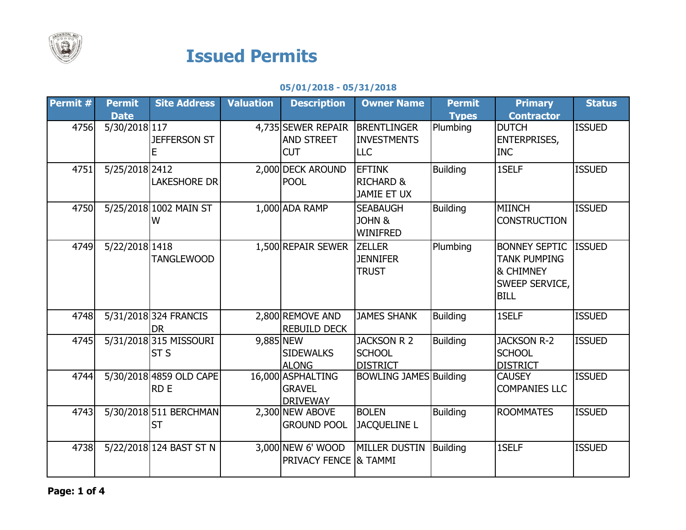

## Issued Permits

05/01/2018 - 05/31/2018

| <b>Permit</b> $#$ | <b>Permit</b>  | <b>Site Address</b>                   | <b>Valuation</b> | <b>Description</b>                                    | <b>Owner Name</b>                                           | <b>Permit</b>   | <b>Primary</b>                                                                            | <b>Status</b> |
|-------------------|----------------|---------------------------------------|------------------|-------------------------------------------------------|-------------------------------------------------------------|-----------------|-------------------------------------------------------------------------------------------|---------------|
|                   | <b>Date</b>    |                                       |                  |                                                       |                                                             | <b>Types</b>    | <b>Contractor</b>                                                                         |               |
| 4756              | 5/30/20181117  | <b>JEFFERSON ST</b><br>Е              |                  | 4,735 SEWER REPAIR<br>AND STREET<br><b>CUT</b>        | <b>BRENTLINGER</b><br><b>INVESTMENTS</b><br><b>LLC</b>      | Plumbing        | <b>DUTCH</b><br><b>ENTERPRISES,</b><br><b>INC</b>                                         | <b>ISSUED</b> |
| 4751              | 5/25/2018 2412 | <b>LAKESHORE DR</b>                   |                  | 2,000 DECK AROUND<br><b>POOL</b>                      | <b>EFTINK</b><br><b>RICHARD &amp;</b><br><b>JAMIE ET UX</b> | <b>Building</b> | 1SELF                                                                                     | <b>ISSUED</b> |
| 4750              |                | 5/25/2018 1002 MAIN ST<br>W           |                  | 1,000 ADA RAMP                                        | <b>SEABAUGH</b><br><b>JOHN &amp;</b><br><b>WINIFRED</b>     | <b>Building</b> | <b>MIINCH</b><br><b>CONSTRUCTION</b>                                                      | <b>ISSUED</b> |
| 4749              | 5/22/2018 1418 | <b>TANGLEWOOD</b>                     |                  | 1,500 REPAIR SEWER                                    | <b>ZELLER</b><br><b>JENNIFER</b><br><b>TRUST</b>            | Plumbing        | <b>BONNEY SEPTIC</b><br><b>TANK PUMPING</b><br>& CHIMNEY<br>SWEEP SERVICE,<br><b>BILL</b> | <b>ISSUED</b> |
| 4748              |                | 5/31/2018 324 FRANCIS<br><b>DR</b>    |                  | 2,800 REMOVE AND<br><b>REBUILD DECK</b>               | <b>JAMES SHANK</b>                                          | <b>Building</b> | 1SELF                                                                                     | <b>ISSUED</b> |
| 4745              |                | 5/31/2018 315 MISSOURI<br><b>ST S</b> | 9,885 NEW        | <b>SIDEWALKS</b><br><b>ALONG</b>                      | <b>JACKSON R 2</b><br><b>SCHOOL</b><br><b>DISTRICT</b>      | <b>Building</b> | <b>JACKSON R-2</b><br><b>SCHOOL</b><br><b>DISTRICT</b>                                    | <b>ISSUED</b> |
| 4744              |                | 5/30/2018 4859 OLD CAPE<br><b>RDE</b> |                  | 16,000 ASPHALTING<br><b>GRAVEL</b><br><b>DRIVEWAY</b> | <b>BOWLING JAMES Building</b>                               |                 | <b>CAUSEY</b><br><b>COMPANIES LLC</b>                                                     | <b>ISSUED</b> |
| 4743              |                | 5/30/2018 511 BERCHMAN<br><b>ST</b>   |                  | 2,300 NEW ABOVE<br><b>GROUND POOL</b>                 | <b>BOLEN</b><br><b>JACQUELINE L</b>                         | <b>Building</b> | <b>ROOMMATES</b>                                                                          | <b>ISSUED</b> |
| 4738              |                | 5/22/2018 124 BAST ST N               |                  | 3,000 NEW 6' WOOD<br><b>PRIVACY FENCE &amp; TAMMI</b> | <b>MILLER DUSTIN</b>                                        | Building        | 1SELF                                                                                     | <b>ISSUED</b> |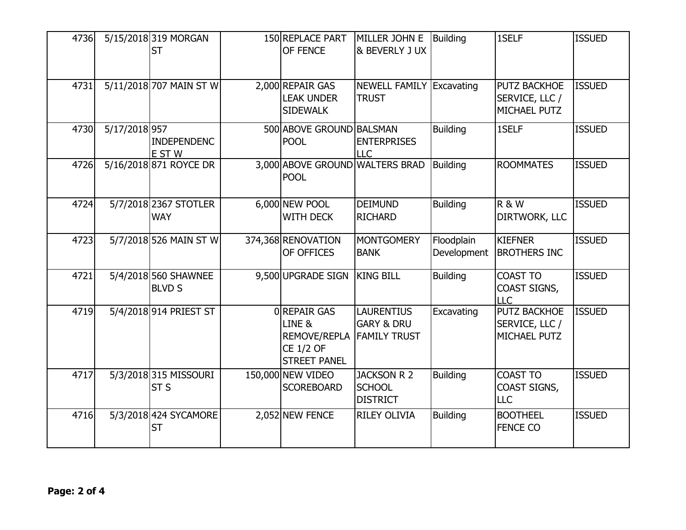| 4736 |               | 5/15/2018 319 MORGAN<br><b>ST</b>        | 150 REPLACE PART<br>OF FENCE                                                                           | MILLER JOHN E<br>& BEVERLY J UX                                   | <b>Building</b>           | 1SELF                                          | <b>ISSUED</b> |
|------|---------------|------------------------------------------|--------------------------------------------------------------------------------------------------------|-------------------------------------------------------------------|---------------------------|------------------------------------------------|---------------|
| 4731 |               | 5/11/2018 707 MAIN ST W                  | 2,000 REPAIR GAS<br><b>LEAK UNDER</b><br><b>SIDEWALK</b>                                               | <b>NEWELL FAMILY Excavating</b><br><b>TRUST</b>                   |                           | PUTZ BACKHOE<br>SERVICE, LLC /<br>MICHAEL PUTZ | <b>ISSUED</b> |
| 4730 | 5/17/2018 957 | <b>INDEPENDENC</b><br>E ST W             | 500 ABOVE GROUND BALSMAN<br><b>POOL</b>                                                                | <b>ENTERPRISES</b><br><b>LLC</b>                                  | <b>Building</b>           | 1SELF                                          | <b>ISSUED</b> |
| 4726 |               | 5/16/2018 871 ROYCE DR                   | 3,000 ABOVE GROUND WALTERS BRAD<br><b>POOL</b>                                                         |                                                                   | <b>Building</b>           | <b>ROOMMATES</b>                               | <b>ISSUED</b> |
| 4724 |               | 5/7/2018 2367 STOTLER<br><b>WAY</b>      | 6,000 NEW POOL<br><b>WITH DECK</b>                                                                     | <b>DEIMUND</b><br><b>RICHARD</b>                                  | <b>Building</b>           | <b>R &amp; W</b><br>DIRTWORK, LLC              | <b>ISSUED</b> |
| 4723 |               | 5/7/2018 526 MAIN ST W                   | 374,368 RENOVATION<br>OF OFFICES                                                                       | <b>MONTGOMERY</b><br><b>BANK</b>                                  | Floodplain<br>Development | <b>KIEFNER</b><br><b>BROTHERS INC</b>          | <b>ISSUED</b> |
| 4721 |               | 5/4/2018 560 SHAWNEE<br><b>BLVD S</b>    | 9,500 UPGRADE SIGN                                                                                     | <b>KING BILL</b>                                                  | <b>Building</b>           | <b>COAST TO</b><br>COAST SIGNS,<br><b>LLC</b>  | <b>ISSUED</b> |
| 4719 |               | 5/4/2018 914 PRIEST ST                   | OREPAIR GAS<br>LINE <sub>&amp;</sub><br><b>REMOVE/REPLA</b><br><b>CE 1/2 OF</b><br><b>STREET PANEL</b> | <b>LAURENTIUS</b><br><b>GARY &amp; DRU</b><br><b>FAMILY TRUST</b> | Excavating                | PUTZ BACKHOE<br>SERVICE, LLC /<br>MICHAEL PUTZ | <b>ISSUED</b> |
| 4717 |               | 5/3/2018 315 MISSOURI<br>ST <sub>S</sub> | 150,000 NEW VIDEO<br><b>SCOREBOARD</b>                                                                 | <b>JACKSON R 2</b><br><b>SCHOOL</b><br><b>DISTRICT</b>            | <b>Building</b>           | <b>COAST TO</b><br>COAST SIGNS,<br>LLC         | <b>ISSUED</b> |
| 4716 |               | 5/3/2018 424 SYCAMORE<br><b>ST</b>       | 2,052 NEW FENCE                                                                                        | <b>RILEY OLIVIA</b>                                               | <b>Building</b>           | <b>BOOTHEEL</b><br><b>FENCE CO</b>             | <b>ISSUED</b> |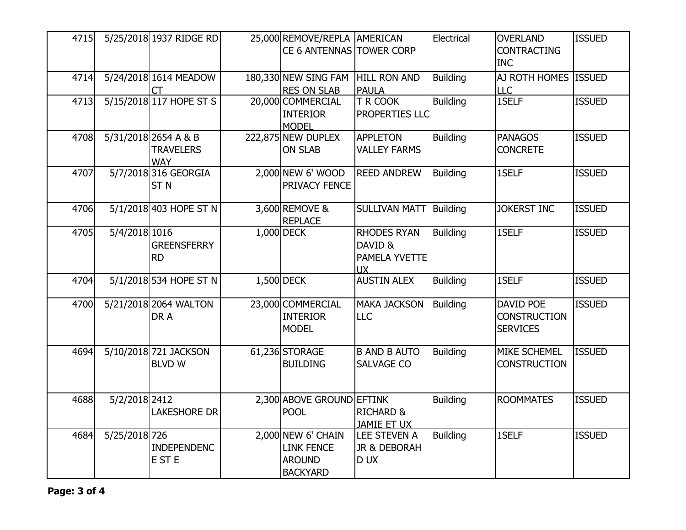| 4715 |               | 5/25/2018 1937 RIDGE RD                                | 25,000 REMOVE/REPLA AMERICAN<br>CE 6 ANTENNAS TOWER CORP                    |                                                             | Electrical      | <b>OVERLAND</b><br><b>CONTRACTING</b><br><b>INC</b>        | <b>ISSUED</b> |
|------|---------------|--------------------------------------------------------|-----------------------------------------------------------------------------|-------------------------------------------------------------|-----------------|------------------------------------------------------------|---------------|
| 4714 |               | 5/24/2018 1614 MEADOW                                  | 180,330 NEW SING FAM<br><b>RES ON SLAB</b>                                  | <b>HILL RON AND</b><br><b>PAULA</b>                         | <b>Building</b> | AJ ROTH HOMES ISSUED<br><b>LLC</b>                         |               |
| 4713 |               | 5/15/2018 117 HOPE ST S                                | 20,000 COMMERCIAL<br><b>INTERIOR</b><br><b>MODEL</b>                        | T R COOK<br>PROPERTIES LLC                                  | <b>Building</b> | 1SELF                                                      | <b>ISSUED</b> |
| 4708 |               | 5/31/2018 2654 A & B<br><b>TRAVELERS</b><br><b>WAY</b> | 222,875 NEW DUPLEX<br><b>ON SLAB</b>                                        | <b>APPLETON</b><br><b>VALLEY FARMS</b>                      | <b>Building</b> | <b>PANAGOS</b><br><b>CONCRETE</b>                          | <b>ISSUED</b> |
| 4707 |               | 5/7/2018 316 GEORGIA<br>ST <sub>N</sub>                | 2,000 NEW 6' WOOD<br>PRIVACY FENCE                                          | <b>REED ANDREW</b>                                          | <b>Building</b> | 1SELF                                                      | <b>ISSUED</b> |
| 4706 |               | 5/1/2018 403 HOPE ST N                                 | 3,600 REMOVE &<br><b>REPLACE</b>                                            | <b>SULLIVAN MATT</b>                                        | Building        | <b>JOKERST INC</b>                                         | <b>ISSUED</b> |
| 4705 | 5/4/2018 1016 | <b>GREENSFERRY</b><br><b>RD</b>                        | 1,000 DECK                                                                  | <b>RHODES RYAN</b><br>DAVID &<br>PAMELA YVETTE<br><b>UX</b> | <b>Building</b> | 1SELF                                                      | <b>ISSUED</b> |
| 4704 |               | 5/1/2018 534 HOPE ST N                                 | 1,500 DECK                                                                  | <b>AUSTIN ALEX</b>                                          | <b>Building</b> | 1SELF                                                      | <b>ISSUED</b> |
| 4700 |               | 5/21/2018 2064 WALTON<br>DR A                          | 23,000 COMMERCIAL<br>INTERIOR<br><b>MODEL</b>                               | <b>MAKA JACKSON</b><br>LLC                                  | <b>Building</b> | <b>DAVID POE</b><br><b>CONSTRUCTION</b><br><b>SERVICES</b> | <b>ISSUED</b> |
| 4694 |               | 5/10/2018 721 JACKSON<br><b>BLVD W</b>                 | 61,236 STORAGE<br><b>BUILDING</b>                                           | <b>B AND B AUTO</b><br>SALVAGE CO                           | <b>Building</b> | MIKE SCHEMEL<br><b>CONSTRUCTION</b>                        | <b>ISSUED</b> |
| 4688 | 5/2/2018 2412 | <b>LAKESHORE DR</b>                                    | 2,300 ABOVE GROUND EFTINK<br><b>POOL</b>                                    | <b>RICHARD &amp;</b><br><b>JAMIE ET UX</b>                  | <b>Building</b> | <b>ROOMMATES</b>                                           | <b>ISSUED</b> |
| 4684 | 5/25/2018 726 | <b>INDEPENDENC</b><br>E ST E                           | 2,000 NEW 6' CHAIN<br><b>LINK FENCE</b><br><b>AROUND</b><br><b>BACKYARD</b> | <b>LEE STEVEN A</b><br>JR & DEBORAH<br>D UX                 | <b>Building</b> | 1SELF                                                      | <b>ISSUED</b> |